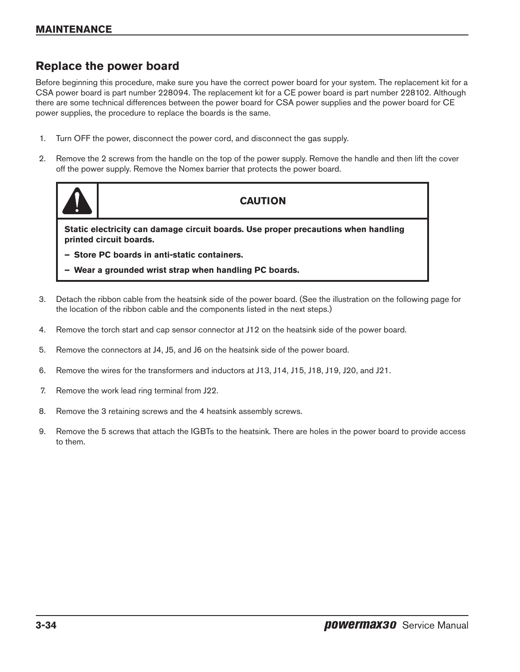## **Replace the power board**

Before beginning this procedure, make sure you have the correct power board for your system. The replacement kit for a CSA power board is part number 228094. The replacement kit for a CE power board is part number 228102. Although there are some technical differences between the power board for CSA power supplies and the power board for CE power supplies, the procedure to replace the boards is the same.

- 1. Turn OFF the power, disconnect the power cord, and disconnect the gas supply.
- 2. Remove the 2 screws from the handle on the top of the power supply. Remove the handle and then lift the cover off the power supply. Remove the Nomex barrier that protects the power board.



## **CAUTION**

**Static electricity can damage circuit boards. Use proper precautions when handling printed circuit boards.**

- **– Store PC boards in anti-static containers.**
- **– Wear a grounded wrist strap when handling PC boards.**
- 3. Detach the ribbon cable from the heatsink side of the power board. (See the illustration on the following page for the location of the ribbon cable and the components listed in the next steps.)
- 4. Remove the torch start and cap sensor connector at J12 on the heatsink side of the power board.
- 5. Remove the connectors at J4, J5, and J6 on the heatsink side of the power board.
- 6. Remove the wires for the transformers and inductors at J13, J14, J15, J18, J19, J20, and J21.
- 7. Remove the work lead ring terminal from J22.
- 8. Remove the 3 retaining screws and the 4 heatsink assembly screws.
- 9. Remove the 5 screws that attach the IGBTs to the heatsink. There are holes in the power board to provide access to them.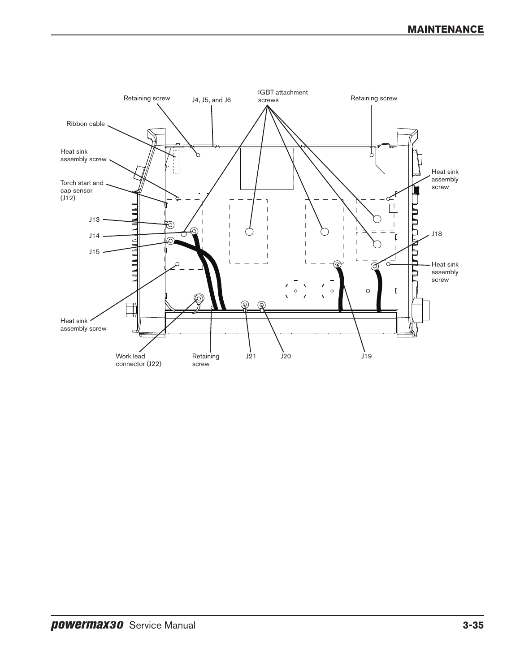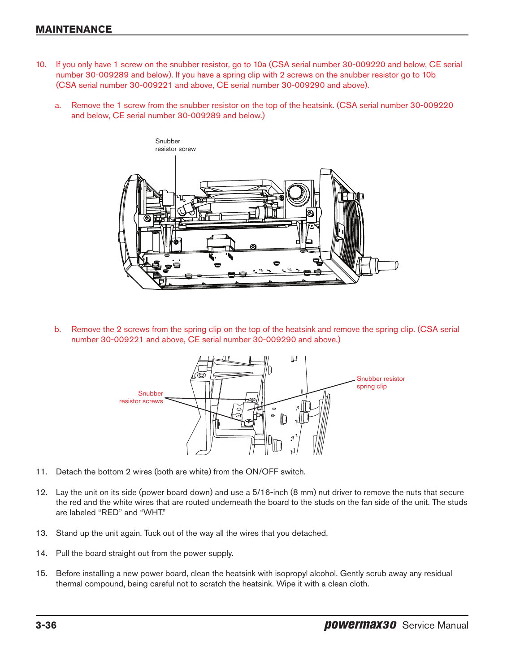## **Maintenance**

- 10. If you only have 1 screw on the snubber resistor, go to 10a (CSA serial number 30-009220 and below, CE serial number 30-009289 and below). If you have a spring clip with 2 screws on the snubber resistor go to 10b (CSA serial number 30-009221 and above, CE serial number 30-009290 and above).
	- a. Remove the 1 screw from the snubber resistor on the top of the heatsink. (CSA serial number 30-009220 and below, CE serial number 30-009289 and below.)



b. Remove the 2 screws from the spring clip on the top of the heatsink and remove the spring clip. (CSA serial number 30-009221 and above, CE serial number 30-009290 and above.)



- 11. Detach the bottom 2 wires (both are white) from the ON/OFF switch.
- 12. Lay the unit on its side (power board down) and use a 5/16-inch (8 mm) nut driver to remove the nuts that secure the red and the white wires that are routed underneath the board to the studs on the fan side of the unit. The studs are labeled "RED" and "WHT."
- 13. Stand up the unit again. Tuck out of the way all the wires that you detached.
- 14. Pull the board straight out from the power supply.
- 15. Before installing a new power board, clean the heatsink with isopropyl alcohol. Gently scrub away any residual thermal compound, being careful not to scratch the heatsink. Wipe it with a clean cloth.